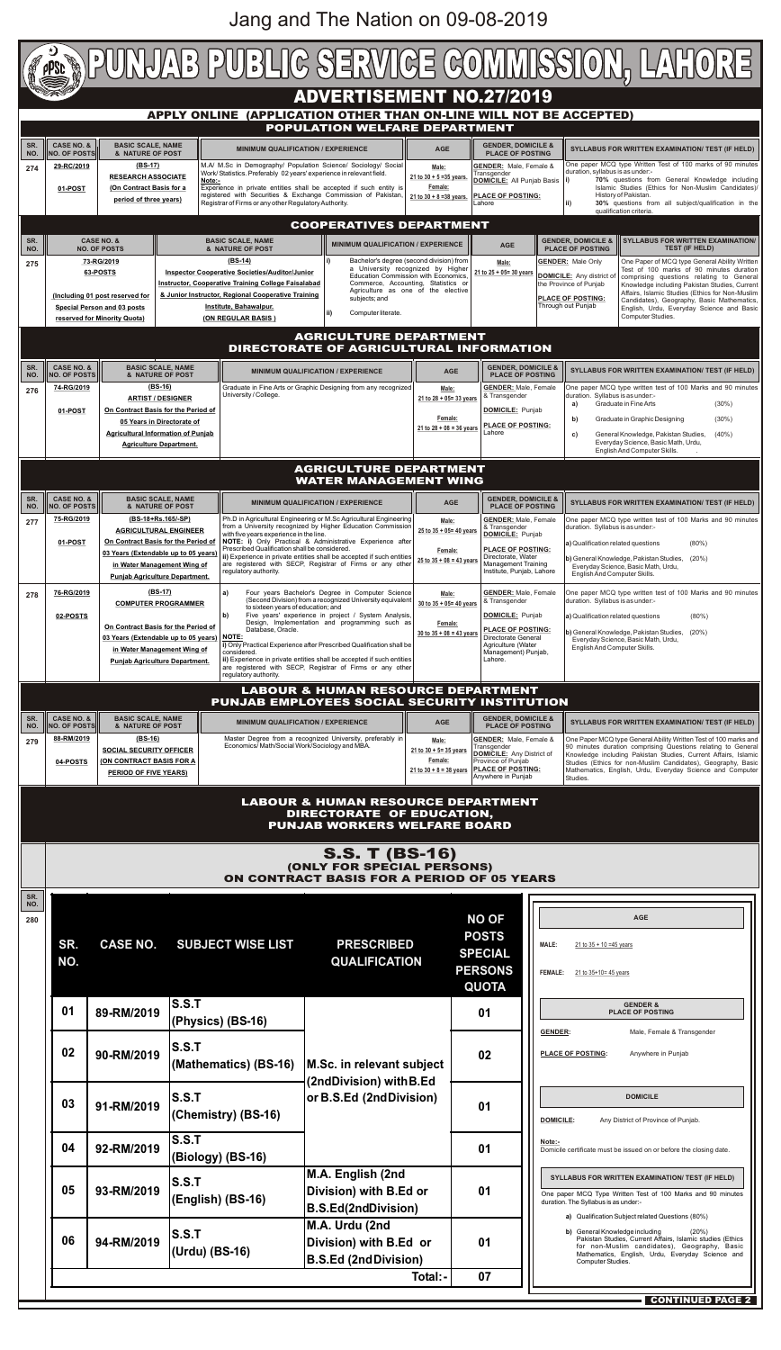

| 279               | <u><b><u>UU-INIIILU IJ</u></b></u><br><u>.</u><br><b>SOCIAL SECURITY OFFICER</b><br>(ON CONTRACT BASIS FOR A<br>04-POSTS<br><b>PERIOD OF FIVE YEARS)</b> |                 |                                       | master Degree from a recognized University, proferably<br>Economics/Math/Social Work/Sociology and MBA. |  | <b>יבושבו</b> ת. ואומוס, ו סווומוס ש<br>Transgender<br>21 to $30 + 5 = 35$ years<br>DOMICILE: Any District of<br>Province of Punjab<br><b>PLACE OF POSTING:</b><br>21 to $30 + 8 = 38$ years<br>Anywhere in Punjab |                                                                                                                                                         | <u>UIIE LADELIVIUU (YDE UEIIEIAI ADIIII) VYHIIEIT TESLULTUU IIIAI KS AHU</u><br>90 minutes duration comprising Questions relating to General<br>Knowledge including Pakistan Studies, Current Affairs, Islamic<br>Studies (Ethics for non-Muslim Candidates), Geography, Basic<br>Mathematics, English, Urdu, Everyday Science and Computer<br>Studies. |  |
|-------------------|----------------------------------------------------------------------------------------------------------------------------------------------------------|-----------------|---------------------------------------|---------------------------------------------------------------------------------------------------------|--|--------------------------------------------------------------------------------------------------------------------------------------------------------------------------------------------------------------------|---------------------------------------------------------------------------------------------------------------------------------------------------------|---------------------------------------------------------------------------------------------------------------------------------------------------------------------------------------------------------------------------------------------------------------------------------------------------------------------------------------------------------|--|
|                   | <b>LABOUR &amp; HUMAN RESOURCE DEPARTMENT</b><br>DIRECTORATE OF EDUCATION,<br><b>PUNJAB WORKERS WELFARE BOARD</b>                                        |                 |                                       |                                                                                                         |  |                                                                                                                                                                                                                    |                                                                                                                                                         |                                                                                                                                                                                                                                                                                                                                                         |  |
|                   | <b>S.S. T (BS-16)</b><br>(ONLY FOR SPECIAL PERSONS)<br>ON CONTRACT BASIS FOR A PERIOD OF 05 YEARS                                                        |                 |                                       |                                                                                                         |  |                                                                                                                                                                                                                    |                                                                                                                                                         |                                                                                                                                                                                                                                                                                                                                                         |  |
| SR.<br>NO.<br>280 | SR.<br>NO.                                                                                                                                               | <b>CASE NO.</b> | <b>SUBJECT WISE LIST</b>              | <b>PRESCRIBED</b><br><b>QUALIFICATION</b>                                                               |  | <b>NO OF</b><br><b>POSTS</b><br><b>SPECIAL</b><br><b>PERSONS</b><br><b>QUOTA</b>                                                                                                                                   | <b>MALE:</b><br><b>FEMALE:</b>                                                                                                                          | <b>AGE</b><br>21 to $35 + 10 = 45$ years<br>21 to 35+10= 45 years                                                                                                                                                                                                                                                                                       |  |
|                   | 01                                                                                                                                                       | 89-RM/2019      | <b>S.S.T</b><br>(Physics) (BS-16)     | M.Sc. in relevant subject<br>(2ndDivision) with B.Ed<br>or B.S.Ed (2ndDivision)                         |  | 01                                                                                                                                                                                                                 | <b>GENDER:</b>                                                                                                                                          | <b>GENDER &amp;</b><br><b>PLACE OF POSTING</b><br>Male, Female & Transgender                                                                                                                                                                                                                                                                            |  |
|                   | 02                                                                                                                                                       | 90-RM/2019      | <b>S.S.T</b><br>(Mathematics) (BS-16) |                                                                                                         |  | 02                                                                                                                                                                                                                 |                                                                                                                                                         | <b>PLACE OF POSTING:</b><br>Anywhere in Punjab                                                                                                                                                                                                                                                                                                          |  |
|                   | 03                                                                                                                                                       | 91-RM/2019      | <b>S.S.T</b><br>(Chemistry) (BS-16)   |                                                                                                         |  | 01                                                                                                                                                                                                                 | <b>DOMICILE:</b>                                                                                                                                        | <b>DOMICILE</b><br>Any District of Province of Punjab.                                                                                                                                                                                                                                                                                                  |  |
|                   | 04                                                                                                                                                       | 92-RM/2019      | <b>S.S.T</b><br>(Biology) (BS-16)     |                                                                                                         |  | 01                                                                                                                                                                                                                 | Note:-                                                                                                                                                  | Domicile certificate must be issued on or before the closing date.                                                                                                                                                                                                                                                                                      |  |
|                   | 05                                                                                                                                                       | 93-RM/2019      | <b>S.S.T</b><br>(English) (BS-16)     | M.A. English (2nd<br>Division) with B.Ed or<br><b>B.S.Ed(2ndDivision)</b>                               |  | 01                                                                                                                                                                                                                 | SYLLABUS FOR WRITTEN EXAMINATION/ TEST (IF HELD)<br>One paper MCQ Type Written Test of 100 Marks and 90 minutes<br>duration. The Syllabus is as under:- |                                                                                                                                                                                                                                                                                                                                                         |  |
|                   | 06                                                                                                                                                       | 94-RM/2019      | <b>S.S.T</b><br>(Urdu) (BS-16)        | M.A. Urdu (2nd<br>Division) with B.Ed or<br><b>B.S.Ed (2ndDivision)</b>                                 |  | 01                                                                                                                                                                                                                 |                                                                                                                                                         | a) Qualification Subject related Questions (80%)<br>b) General Knowledge including<br>$(20\%)$<br>Pakistan Studies, Current Affairs, Islamic studies (Ethics<br>for non-Muslim candidates), Geography, Basic<br>Mathematics, English, Urdu, Everyday Science and<br>Computer Studies.                                                                   |  |
|                   | Total:-                                                                                                                                                  |                 |                                       |                                                                                                         |  | 07                                                                                                                                                                                                                 |                                                                                                                                                         |                                                                                                                                                                                                                                                                                                                                                         |  |
|                   |                                                                                                                                                          |                 |                                       |                                                                                                         |  |                                                                                                                                                                                                                    |                                                                                                                                                         | <b>CONTINUED PAGE 2</b>                                                                                                                                                                                                                                                                                                                                 |  |

## Jang and The Nation on 09-08-2019